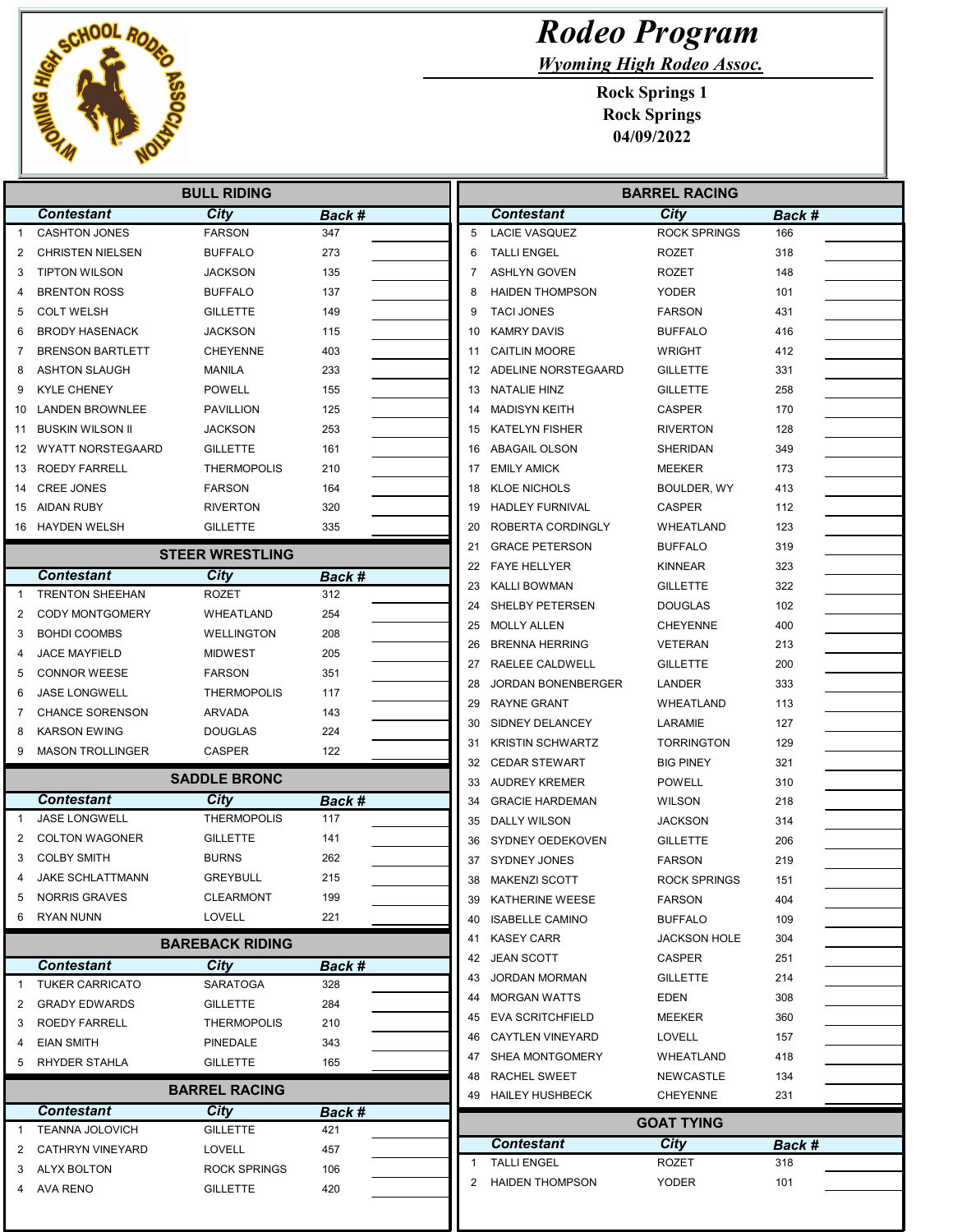

Wyoming High Rodeo Assoc.

| <b>BULL RIDING</b> |                                           |                        |        |          | <b>BARREL RACING</b>                            |                       |            |  |
|--------------------|-------------------------------------------|------------------------|--------|----------|-------------------------------------------------|-----------------------|------------|--|
|                    | <b>Contestant</b>                         | <b>City</b>            | Back # |          | <b>Contestant</b>                               | <b>City</b>           | Back #     |  |
| -1                 | <b>CASHTON JONES</b>                      | <b>FARSON</b>          | 347    | 5        | <b>LACIE VASQUEZ</b>                            | <b>ROCK SPRINGS</b>   | 166        |  |
| 2                  | <b>CHRISTEN NIELSEN</b>                   | <b>BUFFALO</b>         | 273    | 6        | <b>TALLI ENGEL</b>                              | <b>ROZET</b>          | 318        |  |
| 3                  | <b>TIPTON WILSON</b>                      | JACKSON                | 135    | 7        | <b>ASHLYN GOVEN</b>                             | <b>ROZET</b>          | 148        |  |
| 4                  | <b>BRENTON ROSS</b>                       | <b>BUFFALO</b>         | 137    | 8        | <b>HAIDEN THOMPSON</b>                          | <b>YODER</b>          | 101        |  |
| 5                  | <b>COLT WELSH</b>                         | GILLETTE               | 149    | 9        | <b>TACI JONES</b>                               | <b>FARSON</b>         | 431        |  |
| 6                  | <b>BRODY HASENACK</b>                     | JACKSON                | 115    | 10       | <b>KAMRY DAVIS</b>                              | <b>BUFFALO</b>        | 416        |  |
| 7                  | <b>BRENSON BARTLETT</b>                   | <b>CHEYENNE</b>        | 403    | 11       | <b>CAITLIN MOORE</b>                            | <b>WRIGHT</b>         | 412        |  |
| 8                  | <b>ASHTON SLAUGH</b>                      | <b>MANILA</b>          | 233    |          | 12 ADELINE NORSTEGAARD                          | <b>GILLETTE</b>       | 331        |  |
| 9                  | <b>KYLE CHENEY</b>                        | <b>POWELL</b>          | 155    | 13       | <b>NATALIE HINZ</b>                             | <b>GILLETTE</b>       | 258        |  |
| 10                 | LANDEN BROWNLEE                           | <b>PAVILLION</b>       | 125    | 14       | <b>MADISYN KEITH</b>                            | <b>CASPER</b>         | 170        |  |
| 11                 | <b>BUSKIN WILSON II</b>                   | JACKSON                | 253    | 15       | <b>KATELYN FISHER</b>                           | <b>RIVERTON</b>       | 128        |  |
| 12                 | <b>WYATT NORSTEGAARD</b>                  | <b>GILLETTE</b>        | 161    | 16       | <b>ABAGAIL OLSON</b>                            | <b>SHERIDAN</b>       | 349        |  |
| 13                 | ROEDY FARRELL                             | <b>THERMOPOLIS</b>     | 210    | 17       | <b>EMILY AMICK</b>                              | <b>MEEKER</b>         | 173        |  |
| 14                 | <b>CREE JONES</b>                         | <b>FARSON</b>          | 164    | 18       | <b>KLOE NICHOLS</b>                             | BOULDER, WY           | 413        |  |
|                    | 15 AIDAN RUBY                             | <b>RIVERTON</b>        | 320    | 19       | <b>HADLEY FURNIVAL</b>                          | <b>CASPER</b>         | 112        |  |
|                    | 16 HAYDEN WELSH                           | <b>GILLETTE</b>        | 335    | 20       | ROBERTA CORDINGLY                               | WHEATLAND             | 123        |  |
|                    |                                           |                        |        | 21       | <b>GRACE PETERSON</b>                           | <b>BUFFALO</b>        | 319        |  |
|                    |                                           | <b>STEER WRESTLING</b> |        | 22       | <b>FAYE HELLYER</b>                             | <b>KINNEAR</b>        | 323        |  |
|                    | <b>Contestant</b>                         | City                   | Back # | 23       | <b>KALLI BOWMAN</b>                             | <b>GILLETTE</b>       | 322        |  |
| $\mathbf{1}$       | <b>TRENTON SHEEHAN</b>                    | <b>ROZET</b>           | 312    | 24       | SHELBY PETERSEN                                 | <b>DOUGLAS</b>        | 102        |  |
| 2                  | <b>CODY MONTGOMERY</b>                    | WHEATLAND              | 254    | 25       | <b>MOLLY ALLEN</b>                              | <b>CHEYENNE</b>       | 400        |  |
| 3                  | <b>BOHDI COOMBS</b>                       | <b>WELLINGTON</b>      | 208    | 26       | <b>BRENNA HERRING</b>                           | <b>VETERAN</b>        | 213        |  |
| 4                  | <b>JACE MAYFIELD</b>                      | <b>MIDWEST</b>         | 205    |          |                                                 | <b>GILLETTE</b>       | 200        |  |
| 5                  | <b>CONNOR WEESE</b>                       | <b>FARSON</b>          | 351    | 27       | RAELEE CALDWELL                                 | <b>LANDER</b>         | 333        |  |
| 6                  | <b>JASE LONGWELL</b>                      | <b>THERMOPOLIS</b>     | 117    | 28<br>29 | <b>JORDAN BONENBERGER</b><br><b>RAYNE GRANT</b> | WHEATLAND             |            |  |
| 7                  | <b>CHANCE SORENSON</b>                    | ARVADA                 | 143    |          |                                                 |                       | 113        |  |
| 8                  | <b>KARSON EWING</b>                       | DOUGLAS                | 224    | 30       | SIDNEY DELANCEY                                 | LARAMIE               | 127        |  |
| 9                  | <b>MASON TROLLINGER</b>                   | <b>CASPER</b>          | 122    | 31       | <b>KRISTIN SCHWARTZ</b>                         | <b>TORRINGTON</b>     | 129        |  |
|                    |                                           | <b>SADDLE BRONC</b>    |        | 32       | <b>CEDAR STEWART</b>                            | <b>BIG PINEY</b>      | 321        |  |
|                    |                                           |                        |        | 33       | <b>AUDREY KREMER</b>                            | <b>POWELL</b>         | 310        |  |
|                    | <b>Contestant</b><br><b>JASE LONGWELL</b> | City                   | Back # | 34       | <b>GRACIE HARDEMAN</b>                          | <b>WILSON</b>         | 218        |  |
| 1                  |                                           | <b>THERMOPOLIS</b>     | 117    | 35       | DALLY WILSON                                    | <b>JACKSON</b>        | 314        |  |
| 2                  | <b>COLTON WAGONER</b>                     | GILLETTE               | 141    | 36       | SYDNEY OEDEKOVEN                                | <b>GILLETTE</b>       | 206        |  |
| 3                  | <b>COLBY SMITH</b>                        | BURNS                  | 262    | 37       | SYDNEY JONES                                    | <b>FARSON</b>         | 219        |  |
| 4                  | <b>JAKE SCHLATTMANN</b>                   | <b>GREYBULL</b>        | 215    | 38       | <b>MAKENZI SCOTT</b>                            | <b>ROCK SPRINGS</b>   | 151        |  |
| 5                  | <b>NORRIS GRAVES</b>                      | CLEARMONT              | 199    |          | 39 KATHERINE WEESE                              | <b>FARSON</b>         | 404        |  |
| 6                  | RYAN NUNN                                 | LOVELL                 | 221    |          | 40 ISABELLE CAMINO                              | <b>BUFFALO</b>        | 109        |  |
|                    |                                           | <b>BAREBACK RIDING</b> |        |          | 41 KASEY CARR                                   | <b>JACKSON HOLE</b>   | 304        |  |
|                    | <b>Contestant</b>                         | City                   | Back # |          | 42 JEAN SCOTT                                   | <b>CASPER</b>         | 251        |  |
| $\mathbf{1}$       | <b>TUKER CARRICATO</b>                    | SARATOGA               | 328    | 43       | <b>JORDAN MORMAN</b>                            | <b>GILLETTE</b>       | 214        |  |
| 2                  | <b>GRADY EDWARDS</b>                      | <b>GILLETTE</b>        | 284    | 44       | <b>MORGAN WATTS</b>                             | EDEN                  | 308        |  |
| 3                  | ROEDY FARRELL                             | <b>THERMOPOLIS</b>     | 210    | 45       | EVA SCRITCHFIELD                                | MEEKER                | 360        |  |
| 4                  | <b>EIAN SMITH</b>                         | PINEDALE               | 343    | 46       | <b>CAYTLEN VINEYARD</b>                         | <b>LOVELL</b>         | 157        |  |
| 5                  | RHYDER STAHLA                             | <b>GILLETTE</b>        | 165    |          | 47 SHEA MONTGOMERY                              | WHEATLAND             | 418        |  |
|                    |                                           |                        |        | 48       | RACHEL SWEET                                    | NEWCASTLE             | 134        |  |
|                    |                                           | <b>BARREL RACING</b>   |        |          | 49 HAILEY HUSHBECK                              | <b>CHEYENNE</b>       | 231        |  |
|                    | <b>Contestant</b>                         | <b>City</b>            | Back # |          |                                                 | <b>GOAT TYING</b>     |            |  |
| $\overline{1}$     | TEANNA JOLOVICH                           | <b>GILLETTE</b>        | 421    |          | <b>Contestant</b>                               | <b>City</b>           |            |  |
| 2                  | CATHRYN VINEYARD                          | <b>LOVELL</b>          | 457    | 1        | <b>TALLI ENGEL</b>                              |                       | Back #     |  |
| 3                  | ALYX BOLTON                               | <b>ROCK SPRINGS</b>    | 106    | 2        | <b>HAIDEN THOMPSON</b>                          | ROZET<br><b>YODER</b> | 318<br>101 |  |
|                    |                                           |                        |        |          |                                                 |                       |            |  |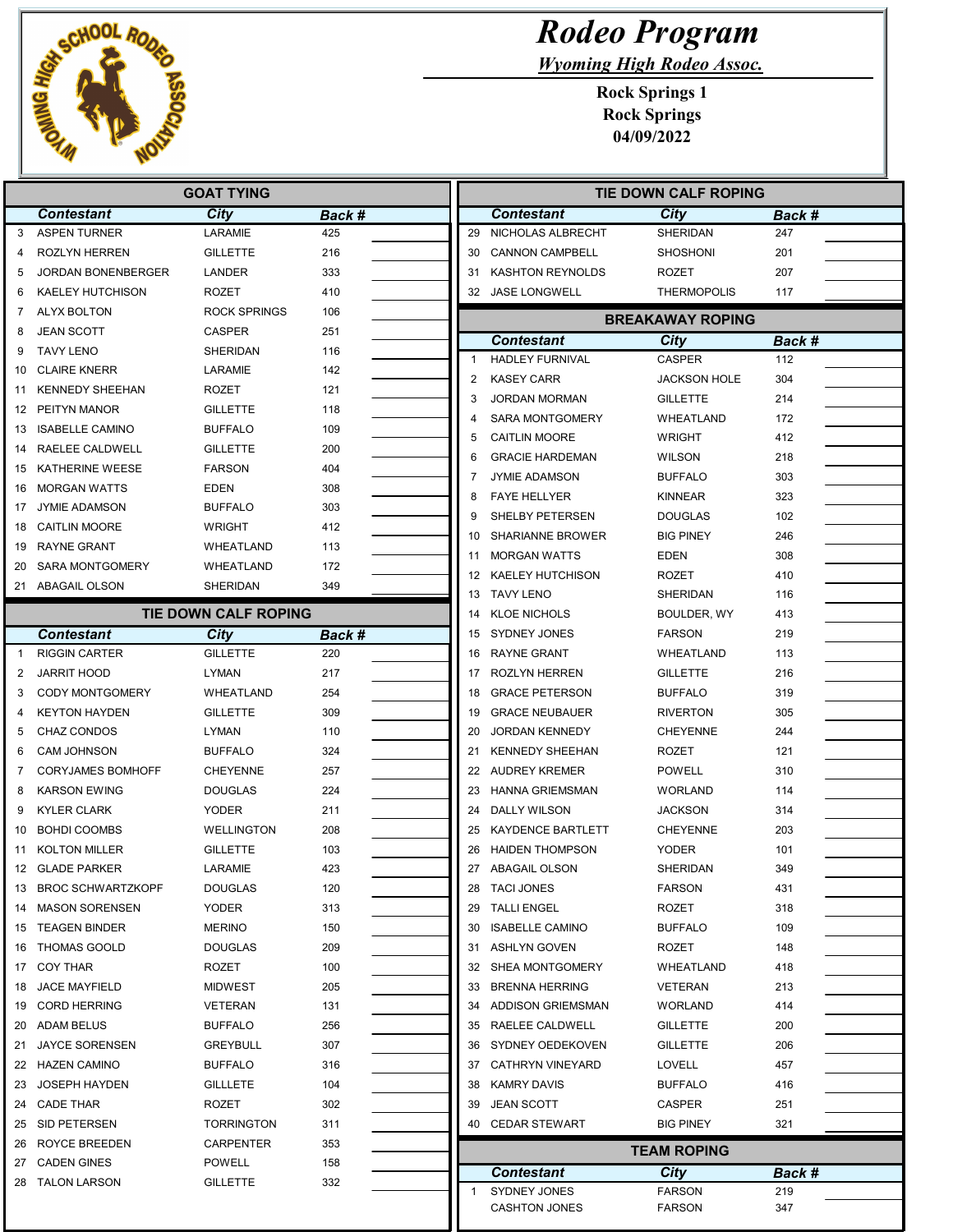

Wyoming High Rodeo Assoc.

| <b>GOAT TYING</b>            |                             |        |              | <b>TIE DOWN CALF ROPING</b> |                         |               |  |  |
|------------------------------|-----------------------------|--------|--------------|-----------------------------|-------------------------|---------------|--|--|
| <b>Contestant</b>            | City                        | Back # |              | <b>Contestant</b>           | City                    | <b>Back #</b> |  |  |
| <b>ASPEN TURNER</b><br>3     | LARAMIE                     | 425    | 29           | NICHOLAS ALBRECHT           | SHERIDAN                | 247           |  |  |
| <b>ROZLYN HERREN</b><br>4    | <b>GILLETTE</b>             | 216    | 30           | <b>CANNON CAMPBELL</b>      | SHOSHONI                | 201           |  |  |
| JORDAN BONENBERGER<br>5      | <b>LANDER</b>               | 333    | 31           | <b>KASHTON REYNOLDS</b>     | <b>ROZET</b>            | 207           |  |  |
| <b>KAELEY HUTCHISON</b><br>6 | <b>ROZET</b>                | 410    |              | 32 JASE LONGWELL            | <b>THERMOPOLIS</b>      | 117           |  |  |
| ALYX BOLTON<br>7             | <b>ROCK SPRINGS</b>         | 106    |              |                             | <b>BREAKAWAY ROPING</b> |               |  |  |
| <b>JEAN SCOTT</b>            | <b>CASPER</b>               | 251    |              | <b>Contestant</b>           | City                    | Back #        |  |  |
| <b>TAVY LENO</b>             | SHERIDAN                    | 116    | 1            | <b>HADLEY FURNIVAL</b>      | <b>CASPER</b>           | 112           |  |  |
| <b>CLAIRE KNERR</b><br>10    | LARAMIE                     | 142    | 2            |                             |                         | 304           |  |  |
| <b>KENNEDY SHEEHAN</b><br>11 | ROZET                       | 121    |              | <b>KASEY CARR</b>           | <b>JACKSON HOLE</b>     |               |  |  |
| PEITYN MANOR<br>12           | <b>GILLETTE</b>             | 118    | 3            | <b>JORDAN MORMAN</b>        | <b>GILLETTE</b>         | 214           |  |  |
| <b>ISABELLE CAMINO</b><br>13 | <b>BUFFALO</b>              | 109    | 4            | <b>SARA MONTGOMERY</b>      | WHEATLAND               | 172           |  |  |
| RAELEE CALDWELL<br>14        | <b>GILLETTE</b>             | 200    | 5            | <b>CAITLIN MOORE</b>        | <b>WRIGHT</b>           | 412           |  |  |
| <b>KATHERINE WEESE</b><br>15 | <b>FARSON</b>               | 404    | 6            | <b>GRACIE HARDEMAN</b>      | <b>WILSON</b>           | 218           |  |  |
| <b>MORGAN WATTS</b><br>16    | <b>EDEN</b>                 | 308    | 7            | <b>JYMIE ADAMSON</b>        | <b>BUFFALO</b>          | 303           |  |  |
| <b>JYMIE ADAMSON</b><br>17   | <b>BUFFALO</b>              | 303    | 8            | <b>FAYE HELLYER</b>         | <b>KINNEAR</b>          | 323           |  |  |
| <b>CAITLIN MOORE</b><br>18   | <b>WRIGHT</b>               | 412    | 9            | SHELBY PETERSEN             | DOUGLAS                 | 102           |  |  |
| <b>RAYNE GRANT</b><br>19     | WHEATLAND                   | 113    | 10           | <b>SHARIANNE BROWER</b>     | <b>BIG PINEY</b>        | 246           |  |  |
| <b>SARA MONTGOMERY</b><br>20 | WHEATLAND                   | 172    | 11           | <b>MORGAN WATTS</b>         | <b>EDEN</b>             | 308           |  |  |
| 21 ABAGAIL OLSON             | <b>SHERIDAN</b>             | 349    | 12           | <b>KAELEY HUTCHISON</b>     | <b>ROZET</b>            | 410           |  |  |
|                              |                             |        |              | 13 TAVY LENO                | <b>SHERIDAN</b>         | 116           |  |  |
|                              | <b>TIE DOWN CALF ROPING</b> |        | 14           | <b>KLOE NICHOLS</b>         | BOULDER, WY             | 413           |  |  |
| Contestant                   | City                        | Back # |              | 15 SYDNEY JONES             | <b>FARSON</b>           | 219           |  |  |
| <b>RIGGIN CARTER</b>         | <b>GILLETTE</b>             | 220    | 16           | <b>RAYNE GRANT</b>          | WHEATLAND               | 113           |  |  |
| <b>JARRIT HOOD</b>           | LYMAN                       | 217    | 17           | <b>ROZLYN HERREN</b>        | <b>GILLETTE</b>         | 216           |  |  |
| <b>CODY MONTGOMERY</b>       | WHEATLAND                   | 254    | 18           | <b>GRACE PETERSON</b>       | <b>BUFFALO</b>          | 319           |  |  |
| <b>KEYTON HAYDEN</b>         | <b>GILLETTE</b>             | 309    | 19           | <b>GRACE NEUBAUER</b>       | <b>RIVERTON</b>         | 305           |  |  |
| CHAZ CONDOS                  | LYMAN                       | 110    | 20           | <b>JORDAN KENNEDY</b>       | CHEYENNE                | 244           |  |  |
| <b>CAM JOHNSON</b>           | <b>BUFFALO</b>              | 324    | 21           | <b>KENNEDY SHEEHAN</b>      | <b>ROZET</b>            | 121           |  |  |
| <b>CORYJAMES BOMHOFF</b>     | <b>CHEYENNE</b>             | 257    | 22           | <b>AUDREY KREMER</b>        | <b>POWELL</b>           | 310           |  |  |
| <b>KARSON EWING</b>          | <b>DOUGLAS</b>              | 224    | 23           | <b>HANNA GRIEMSMAN</b>      | <b>WORLAND</b>          | 114           |  |  |
| <b>KYLER CLARK</b>           | <b>YODER</b>                | 211    | 24           | DALLY WILSON                | JACKSON                 | 314           |  |  |
| <b>BOHDI COOMBS</b><br>10    | <b>WELLINGTON</b>           | 208    | 25           | <b>KAYDENCE BARTLETT</b>    | <b>CHEYENNE</b>         | 203           |  |  |
| <b>KOLTON MILLER</b><br>11   | <b>GILLETTE</b>             | 103    | 26           | <b>HAIDEN THOMPSON</b>      | <b>YODER</b>            | 101           |  |  |
| 12 GLADE PARKER              | LARAMIE                     | 423    |              | 27 ABAGAIL OLSON            | SHERIDAN                | 349           |  |  |
| 13 BROC SCHWARTZKOPF         | <b>DOUGLAS</b>              | 120    | 28           | <b>TACI JONES</b>           | <b>FARSON</b>           | 431           |  |  |
| 14 MASON SORENSEN            | YODER                       | 313    |              | 29 TALLI ENGEL              | ROZET                   | 318           |  |  |
| 15 TEAGEN BINDER             | <b>MERINO</b>               | 150    |              | 30 ISABELLE CAMINO          | <b>BUFFALO</b>          | 109           |  |  |
| THOMAS GOOLD<br>16           | <b>DOUGLAS</b>              | 209    | 31           | <b>ASHLYN GOVEN</b>         | ROZET                   | 148           |  |  |
| COY THAR<br>17               | ROZET                       | 100    |              | 32 SHEA MONTGOMERY          | WHEATLAND               | 418           |  |  |
| <b>JACE MAYFIELD</b><br>18   | <b>MIDWEST</b>              | 205    | 33           | <b>BRENNA HERRING</b>       | <b>VETERAN</b>          | 213           |  |  |
| <b>CORD HERRING</b><br>19    | VETERAN                     | 131    |              | 34 ADDISON GRIEMSMAN        | <b>WORLAND</b>          | 414           |  |  |
| ADAM BELUS<br>20             | <b>BUFFALO</b>              | 256    |              | 35 RAELEE CALDWELL          | <b>GILLETTE</b>         | 200           |  |  |
| <b>JAYCE SORENSEN</b><br>21  | <b>GREYBULL</b>             | 307    |              | 36 SYDNEY OEDEKOVEN         | <b>GILLETTE</b>         | 206           |  |  |
| HAZEN CAMINO<br>22           | <b>BUFFALO</b>              | 316    |              | 37 CATHRYN VINEYARD         | LOVELL                  | 457           |  |  |
| <b>JOSEPH HAYDEN</b><br>23   | <b>GILLLETE</b>             | 104    | 38           | <b>KAMRY DAVIS</b>          | <b>BUFFALO</b>          | 416           |  |  |
| 24 CADE THAR                 | ROZET                       | 302    | 39           | <b>JEAN SCOTT</b>           | CASPER                  | 251           |  |  |
| 25 SID PETERSEN              | <b>TORRINGTON</b>           | 311    |              | 40 CEDAR STEWART            | BIG PINEY               | 321           |  |  |
| ROYCE BREEDEN<br>26          | CARPENTER                   | 353    |              |                             |                         |               |  |  |
| 27 CADEN GINES               | POWELL                      | 158    |              |                             | <b>TEAM ROPING</b>      |               |  |  |
| 28 TALON LARSON              | <b>GILLETTE</b>             | 332    |              | <b>Contestant</b>           | <b>City</b>             | Back #        |  |  |
|                              |                             |        | $\mathbf{1}$ | SYDNEY JONES                | <b>FARSON</b>           | 219           |  |  |
|                              |                             |        |              | <b>CASHTON JONES</b>        | <b>FARSON</b>           | 347           |  |  |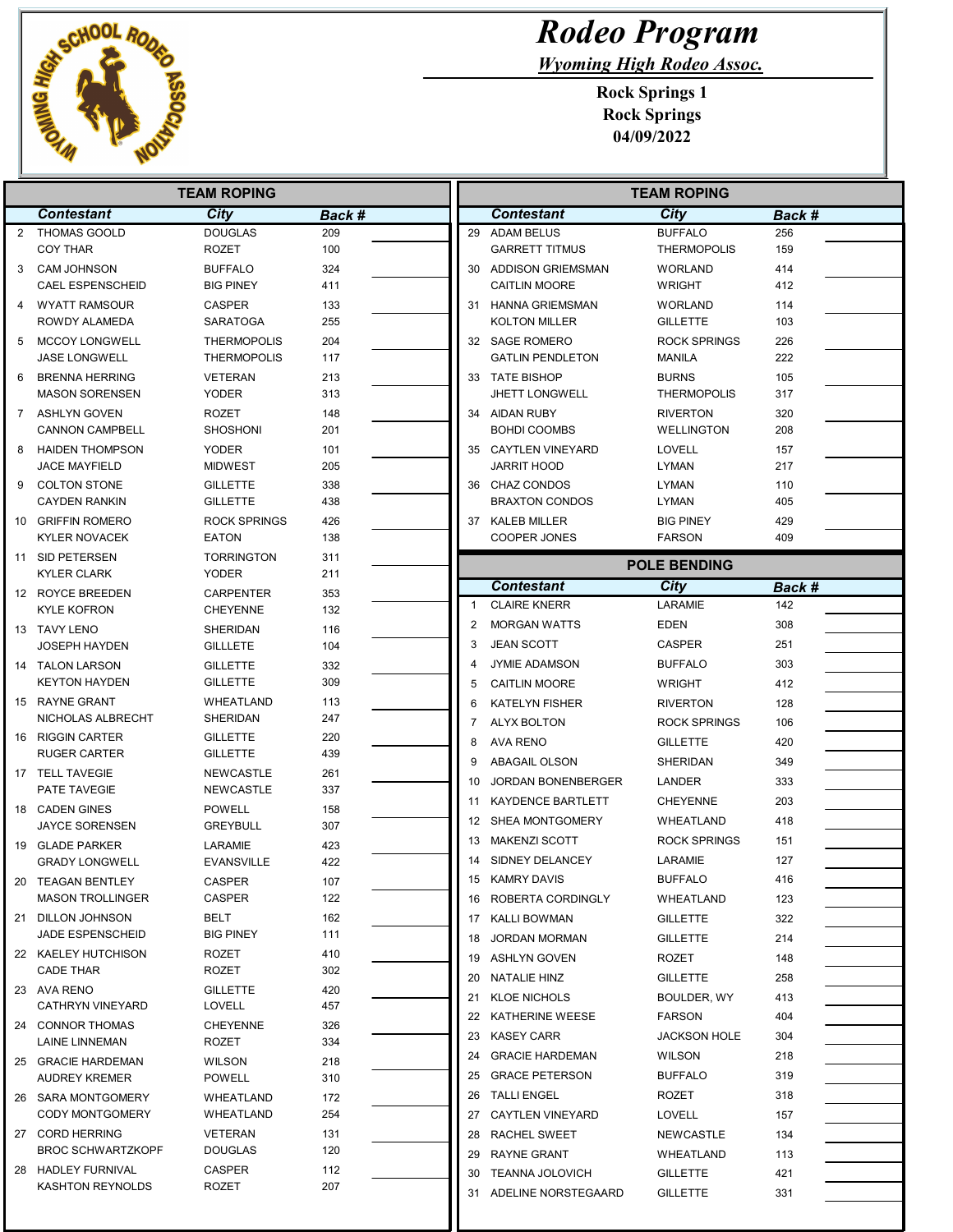

Wyoming High Rodeo Assoc.

|                | <b>TEAM ROPING</b>                             |                                          |            |  | <b>TEAM ROPING</b> |                                           |                                      |            |  |
|----------------|------------------------------------------------|------------------------------------------|------------|--|--------------------|-------------------------------------------|--------------------------------------|------------|--|
|                | <b>Contestant</b>                              | <b>City</b>                              | Back #     |  |                    | <b>Contestant</b>                         | <b>City</b>                          | Back #     |  |
| $\overline{2}$ | <b>THOMAS GOOLD</b>                            | <b>DOUGLAS</b>                           | 209        |  | 29                 | <b>ADAM BELUS</b>                         | <b>BUFFALO</b>                       | 256        |  |
|                | <b>COY THAR</b>                                | <b>ROZET</b>                             | 100        |  |                    | <b>GARRETT TITMUS</b>                     | <b>THERMOPOLIS</b>                   | 159        |  |
| 3              | <b>CAM JOHNSON</b>                             | <b>BUFFALO</b>                           | 324        |  |                    | 30 ADDISON GRIEMSMAN                      | <b>WORLAND</b>                       | 414        |  |
|                | <b>CAEL ESPENSCHEID</b>                        | <b>BIG PINEY</b>                         | 411        |  |                    | <b>CAITLIN MOORE</b>                      | <b>WRIGHT</b>                        | 412        |  |
|                | <b>WYATT RAMSOUR</b>                           | <b>CASPER</b>                            | 133        |  |                    | 31 HANNA GRIEMSMAN                        | <b>WORLAND</b>                       | 114        |  |
|                | ROWDY ALAMEDA                                  | <b>SARATOGA</b>                          | 255        |  |                    | <b>KOLTON MILLER</b>                      | <b>GILLETTE</b>                      | 103        |  |
| 5              | <b>MCCOY LONGWELL</b><br><b>JASE LONGWELL</b>  | <b>THERMOPOLIS</b><br><b>THERMOPOLIS</b> | 204<br>117 |  |                    | 32 SAGE ROMERO<br><b>GATLIN PENDLETON</b> | <b>ROCK SPRINGS</b><br><b>MANILA</b> | 226<br>222 |  |
| 6              | <b>BRENNA HERRING</b>                          | VETERAN                                  | 213        |  |                    | 33 TATE BISHOP                            | <b>BURNS</b>                         | 105        |  |
|                | <b>MASON SORENSEN</b>                          | <b>YODER</b>                             | 313        |  |                    | <b>JHETT LONGWELL</b>                     | <b>THERMOPOLIS</b>                   | 317        |  |
| $\mathbf{7}$   | ASHLYN GOVEN                                   | <b>ROZET</b>                             | 148        |  |                    | 34 AIDAN RUBY                             | <b>RIVERTON</b>                      | 320        |  |
|                | <b>CANNON CAMPBELL</b>                         | <b>SHOSHONI</b>                          | 201        |  |                    | <b>BOHDI COOMBS</b>                       | <b>WELLINGTON</b>                    | 208        |  |
| 8              | <b>HAIDEN THOMPSON</b><br><b>JACE MAYFIELD</b> | <b>YODER</b><br><b>MIDWEST</b>           | 101<br>205 |  |                    | 35 CAYTLEN VINEYARD<br><b>JARRIT HOOD</b> | LOVELL<br><b>LYMAN</b>               | 157<br>217 |  |
|                | <b>COLTON STONE</b>                            |                                          |            |  |                    |                                           |                                      |            |  |
| 9              | <b>CAYDEN RANKIN</b>                           | <b>GILLETTE</b><br><b>GILLETTE</b>       | 338<br>438 |  |                    | 36 CHAZ CONDOS<br><b>BRAXTON CONDOS</b>   | <b>LYMAN</b><br><b>LYMAN</b>         | 110<br>405 |  |
| 10             | <b>GRIFFIN ROMERO</b>                          | <b>ROCK SPRINGS</b>                      | 426        |  | 37                 | <b>KALEB MILLER</b>                       | <b>BIG PINEY</b>                     | 429        |  |
|                | <b>KYLER NOVACEK</b>                           | <b>EATON</b>                             | 138        |  |                    | <b>COOPER JONES</b>                       | <b>FARSON</b>                        | 409        |  |
|                | 11 SID PETERSEN                                | <b>TORRINGTON</b>                        | 311        |  |                    |                                           |                                      |            |  |
|                | <b>KYLER CLARK</b>                             | <b>YODER</b>                             | 211        |  |                    |                                           | <b>POLE BENDING</b>                  |            |  |
|                | 12 ROYCE BREEDEN                               | <b>CARPENTER</b>                         | 353        |  |                    | <b>Contestant</b>                         | <b>City</b>                          | Back #     |  |
|                | <b>KYLE KOFRON</b>                             | <b>CHEYENNE</b>                          | 132        |  | $\mathbf{1}$       | <b>CLAIRE KNERR</b>                       | LARAMIE                              | 142        |  |
|                | 13 TAVY LENO                                   | SHERIDAN                                 | 116        |  | 2                  | <b>MORGAN WATTS</b>                       | <b>EDEN</b>                          | 308        |  |
|                | <b>JOSEPH HAYDEN</b>                           | <b>GILLLETE</b>                          | 104        |  | 3                  | <b>JEAN SCOTT</b>                         | <b>CASPER</b>                        | 251        |  |
|                | 14 TALON LARSON                                | <b>GILLETTE</b>                          | 332        |  | 4                  | <b>JYMIE ADAMSON</b>                      | <b>BUFFALO</b>                       | 303        |  |
|                | <b>KEYTON HAYDEN</b>                           | <b>GILLETTE</b>                          | 309        |  | 5                  | <b>CAITLIN MOORE</b>                      | <b>WRIGHT</b>                        | 412        |  |
| 15             | RAYNE GRANT<br>NICHOLAS ALBRECHT               | WHEATLAND<br>SHERIDAN                    | 113<br>247 |  | 6                  | <b>KATELYN FISHER</b>                     | <b>RIVERTON</b>                      | 128        |  |
| 16             | <b>RIGGIN CARTER</b>                           | <b>GILLETTE</b>                          | 220        |  | 7                  | <b>ALYX BOLTON</b>                        | <b>ROCK SPRINGS</b>                  | 106        |  |
|                | <b>RUGER CARTER</b>                            | <b>GILLETTE</b>                          | 439        |  | 8                  | <b>AVA RENO</b>                           | <b>GILLETTE</b>                      | 420        |  |
|                | 17 TELL TAVEGIE                                | <b>NEWCASTLE</b>                         | 261        |  | 9                  | ABAGAIL OLSON                             | SHERIDAN                             | 349        |  |
|                | PATE TAVEGIE                                   | <b>NEWCASTLE</b>                         | 337        |  | 10                 | <b>JORDAN BONENBERGER</b>                 | LANDER                               | 333        |  |
| 18             | <b>CADEN GINES</b>                             | <b>POWELL</b>                            | 158        |  | 11                 | KAYDENCE BARTLETT                         | <b>CHEYENNE</b>                      | 203        |  |
|                | <b>JAYCE SORENSEN</b>                          | <b>GREYBULL</b>                          | 307        |  | 12                 | SHEA MONTGOMERY                           | <b>WHEATLAND</b>                     | 418        |  |
| 19             | <b>GLADE PARKER</b>                            | LARAMIE                                  | 423        |  | 13                 | <b>MAKENZI SCOTT</b>                      | <b>ROCK SPRINGS</b>                  | 151        |  |
|                | <b>GRADY LONGWELL</b>                          | <b>EVANSVILLE</b>                        | 422        |  | 14                 | SIDNEY DELANCEY                           | <b>LARAMIE</b>                       | 127        |  |
| 20             | <b>TEAGAN BENTLEY</b>                          | CASPER                                   | 107        |  | 15                 | <b>KAMRY DAVIS</b>                        | <b>BUFFALO</b>                       | 416        |  |
|                | <b>MASON TROLLINGER</b>                        | CASPER                                   | 122        |  |                    | 16 ROBERTA CORDINGLY                      | WHEATLAND                            | 123        |  |
| 21             | DILLON JOHNSON<br><b>JADE ESPENSCHEID</b>      | BELT<br><b>BIG PINEY</b>                 | 162<br>111 |  |                    | 17 KALLI BOWMAN                           | <b>GILLETTE</b>                      | 322        |  |
|                | 22 KAELEY HUTCHISON                            | <b>ROZET</b>                             | 410        |  | 18                 | <b>JORDAN MORMAN</b>                      | <b>GILLETTE</b>                      | 214        |  |
|                | <b>CADE THAR</b>                               | ROZET                                    | 302        |  |                    | 19 ASHLYN GOVEN                           | ROZET                                | 148        |  |
|                | 23 AVA RENO                                    | <b>GILLETTE</b>                          | 420        |  |                    | 20 NATALIE HINZ                           | <b>GILLETTE</b>                      | 258        |  |
|                | CATHRYN VINEYARD                               | LOVELL                                   | 457        |  |                    | 21 KLOE NICHOLS                           | BOULDER, WY                          | 413        |  |
|                | 24 CONNOR THOMAS                               | <b>CHEYENNE</b>                          | 326        |  |                    | 22 KATHERINE WEESE                        | <b>FARSON</b>                        | 404        |  |
|                | LAINE LINNEMAN                                 | ROZET                                    | 334        |  |                    | 23 KASEY CARR                             | <b>JACKSON HOLE</b>                  | 304        |  |
|                | 25 GRACIE HARDEMAN<br><b>AUDREY KREMER</b>     | WILSON<br><b>POWELL</b>                  | 218<br>310 |  |                    | 24 GRACIE HARDEMAN<br>25 GRACE PETERSON   | <b>WILSON</b><br><b>BUFFALO</b>      | 218<br>319 |  |
|                | 26 SARA MONTGOMERY                             | WHEATLAND                                | 172        |  |                    | 26 TALLI ENGEL                            | ROZET                                | 318        |  |
|                | <b>CODY MONTGOMERY</b>                         | WHEATLAND                                | 254        |  |                    | 27 CAYTLEN VINEYARD                       | LOVELL                               | 157        |  |
|                | 27 CORD HERRING                                | VETERAN                                  | 131        |  | 28                 | RACHEL SWEET                              | NEWCASTLE                            | 134        |  |
|                | <b>BROC SCHWARTZKOPF</b>                       | <b>DOUGLAS</b>                           | 120        |  | 29                 | RAYNE GRANT                               | WHEATLAND                            | 113        |  |
|                | 28 HADLEY FURNIVAL                             | CASPER                                   | 112        |  |                    | 30 TEANNA JOLOVICH                        | <b>GILLETTE</b>                      | 421        |  |
|                | <b>KASHTON REYNOLDS</b>                        | ROZET                                    | 207        |  |                    | 31 ADELINE NORSTEGAARD                    | <b>GILLETTE</b>                      | 331        |  |
|                |                                                |                                          |            |  |                    |                                           |                                      |            |  |